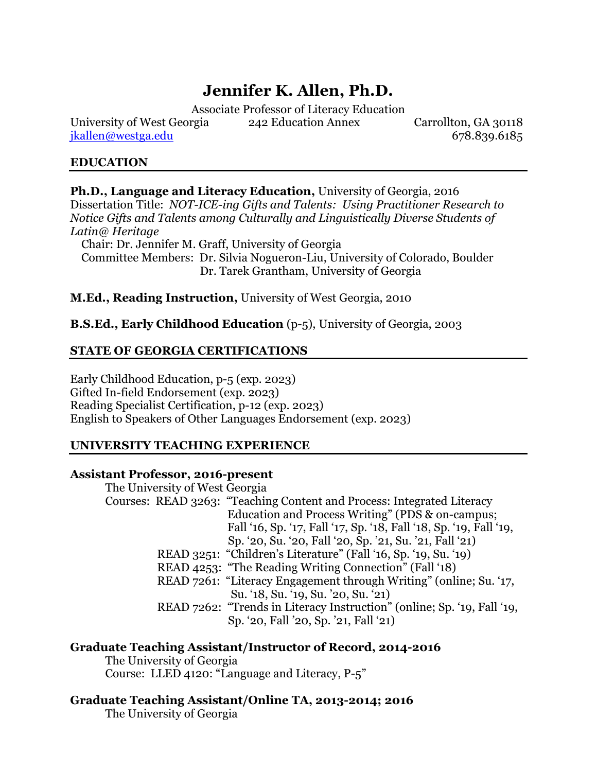# **Jennifer K. Allen, Ph.D.**

Associate Professor of Literacy Education

University of West Georgia 242 Education Annex Carrollton, GA 30118  $ikallen@westga.edu$  678.839.6185

# **EDUCATION**

**Ph.D., Language and Literacy Education,** University of Georgia, 2016 Dissertation Title: *NOT-ICE-ing Gifts and Talents: Using Practitioner Research to Notice Gifts and Talents among Culturally and Linguistically Diverse Students of Latin@ Heritage*

Chair: Dr. Jennifer M. Graff, University of Georgia

 Committee Members: Dr. Silvia Nogueron-Liu, University of Colorado, Boulder Dr. Tarek Grantham, University of Georgia

# **M.Ed., Reading Instruction,** University of West Georgia, 2010

# **B.S.Ed., Early Childhood Education** (p-5), University of Georgia, 2003

# **STATE OF GEORGIA CERTIFICATIONS**

Early Childhood Education, p-5 (exp. 2023) Gifted In-field Endorsement (exp. 2023) Reading Specialist Certification, p-12 (exp. 2023) English to Speakers of Other Languages Endorsement (exp. 2023)

#### **UNIVERSITY TEACHING EXPERIENCE**

#### **Assistant Professor, 2016-present**

The University of West Georgia Courses: READ 3263: "Teaching Content and Process: Integrated Literacy Education and Process Writing" (PDS & on-campus; Fall '16, Sp. '17, Fall '17, Sp. '18, Fall '18, Sp. '19, Fall '19, Sp. '20, Su. '20, Fall '20, Sp. '21, Su. '21, Fall '21) READ 3251: "Children's Literature" (Fall '16, Sp. '19, Su. '19) READ 4253: "The Reading Writing Connection" (Fall '18) READ 7261: "Literacy Engagement through Writing" (online; Su. '17, Su. '18, Su. '19, Su. '20, Su. '21) READ 7262: "Trends in Literacy Instruction" (online; Sp. '19, Fall '19, Sp. '20, Fall '20, Sp. '21, Fall '21)

# **Graduate Teaching Assistant/Instructor of Record, 2014-2016**

The University of Georgia Course: LLED 4120: "Language and Literacy, P-5"

# **Graduate Teaching Assistant/Online TA, 2013-2014; 2016**

The University of Georgia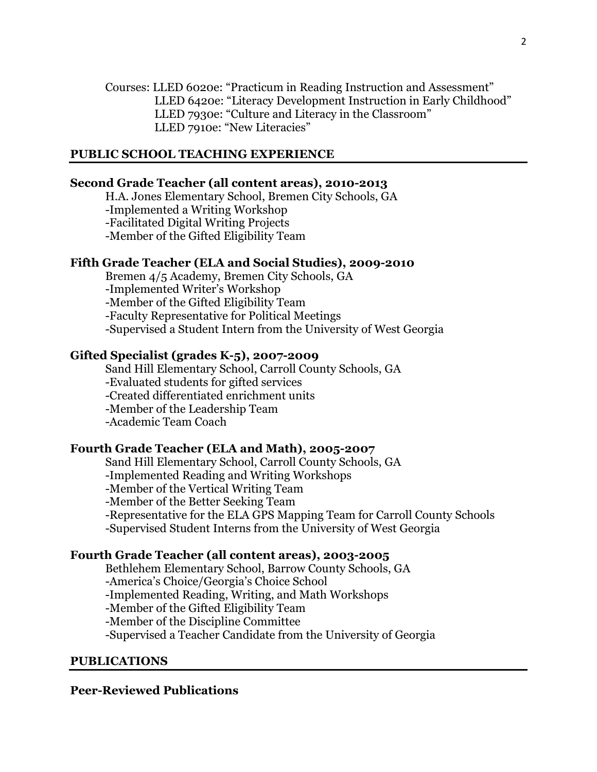Courses: LLED 6020e: "Practicum in Reading Instruction and Assessment" LLED 6420e: "Literacy Development Instruction in Early Childhood" LLED 7930e: "Culture and Literacy in the Classroom" LLED 7910e: "New Literacies"

## **PUBLIC SCHOOL TEACHING EXPERIENCE**

#### **Second Grade Teacher (all content areas), 2010-2013**

H.A. Jones Elementary School, Bremen City Schools, GA

-Implemented a Writing Workshop

-Facilitated Digital Writing Projects

-Member of the Gifted Eligibility Team

## **Fifth Grade Teacher (ELA and Social Studies), 2009-2010**

Bremen 4/5 Academy, Bremen City Schools, GA

-Implemented Writer's Workshop

-Member of the Gifted Eligibility Team

-Faculty Representative for Political Meetings

-Supervised a Student Intern from the University of West Georgia

#### **Gifted Specialist (grades K-5), 2007-2009**

Sand Hill Elementary School, Carroll County Schools, GA

-Evaluated students for gifted services

-Created differentiated enrichment units

-Member of the Leadership Team

-Academic Team Coach

#### **Fourth Grade Teacher (ELA and Math), 2005-2007**

Sand Hill Elementary School, Carroll County Schools, GA

-Implemented Reading and Writing Workshops

-Member of the Vertical Writing Team

-Member of the Better Seeking Team

-Representative for the ELA GPS Mapping Team for Carroll County Schools

-Supervised Student Interns from the University of West Georgia

#### **Fourth Grade Teacher (all content areas), 2003-2005**

Bethlehem Elementary School, Barrow County Schools, GA

-America's Choice/Georgia's Choice School

-Implemented Reading, Writing, and Math Workshops

-Member of the Gifted Eligibility Team

-Member of the Discipline Committee

-Supervised a Teacher Candidate from the University of Georgia

#### **PUBLICATIONS**

#### **Peer-Reviewed Publications**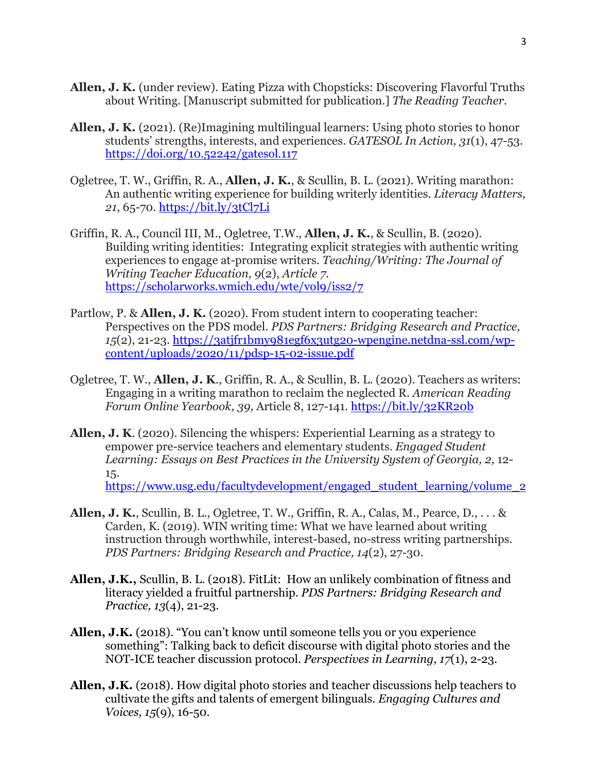- **Allen, J. K.** (under review). Eating Pizza with Chopsticks: Discovering Flavorful Truths about Writing. [Manuscript submitted for publication.] *The Reading Teacher*.
- **Allen, J. K.** (2021). (Re)Imagining multilingual learners: Using photo stories to honor students' strengths, interests, and experiences. *GATESOL In Action, 31*(1), 47-53. <https://doi.org/10.52242/gatesol.117>
- Ogletree, T. W., Griffin, R. A., **Allen, J. K.**, & Scullin, B. L. (2021). Writing marathon: An authentic writing experience for building writerly identities. *Literacy Matters, 21*, 65-70.<https://bit.ly/3tCl7Li>
- Griffin, R. A., Council III, M., Ogletree, T.W., **Allen, J. K.**, & Scullin, B. (2020). Building writing identities: Integrating explicit strategies with authentic writing experiences to engage at-promise writers. *Teaching/Writing: The Journal of Writing Teacher Education, 9*(2), *Article 7.* <https://scholarworks.wmich.edu/wte/vol9/iss2/7>
- Partlow, P. & **Allen, J. K.** (2020). From student intern to cooperating teacher: Perspectives on the PDS model. *PDS Partners: Bridging Research and Practice, 15*(2), 21-23. [https://3atjfr1bmy981egf6x3utg20-wpengine.netdna-ssl.com/wp](https://3atjfr1bmy981egf6x3utg20-wpengine.netdna-ssl.com/wp-content/uploads/2020/11/pdsp-15-02-issue.pdf)[content/uploads/2020/11/pdsp-15-02-issue.pdf](https://3atjfr1bmy981egf6x3utg20-wpengine.netdna-ssl.com/wp-content/uploads/2020/11/pdsp-15-02-issue.pdf)
- Ogletree, T. W., **Allen, J. K**., Griffin, R. A., & Scullin, B. L. (2020). Teachers as writers: Engaging in a writing marathon to reclaim the neglected R. *American Reading Forum Online Yearbook, 39,* Article 8, 127-141.<https://bit.ly/32KR20b>
- **Allen, J. K**. (2020). Silencing the whispers: Experiential Learning as a strategy to empower pre-service teachers and elementary students. *Engaged Student Learning: Essays on Best Practices in the University System of Georgia, 2,* 12- 15.

[https://www.usg.edu/facultydevelopment/engaged\\_student\\_learning/volume\\_2](https://www.usg.edu/facultydevelopment/engaged_student_learning/volume_2)

- **Allen, J. K.**, Scullin, B. L., Ogletree, T. W., Griffin, R. A., Calas, M., Pearce, D., . . . & Carden, K. (2019). WIN writing time: What we have learned about writing instruction through worthwhile, interest-based, no-stress writing partnerships. *PDS Partners: Bridging Research and Practice, 14*(2), 27-30.
- **Allen, J.K.,** Scullin, B. L. (2018). FitLit: How an unlikely combination of fitness and literacy yielded a fruitful partnership. *PDS Partners: Bridging Research and Practice, 13*(4), 21-23.
- **Allen, J.K.** (2018). "You can't know until someone tells you or you experience something": Talking back to deficit discourse with digital photo stories and the NOT-ICE teacher discussion protocol. *Perspectives in Learning, 17*(1), 2-23*.*
- **Allen, J.K.** (2018). How digital photo stories and teacher discussions help teachers to cultivate the gifts and talents of emergent bilinguals. *Engaging Cultures and Voices, 15*(9), 16-50*.*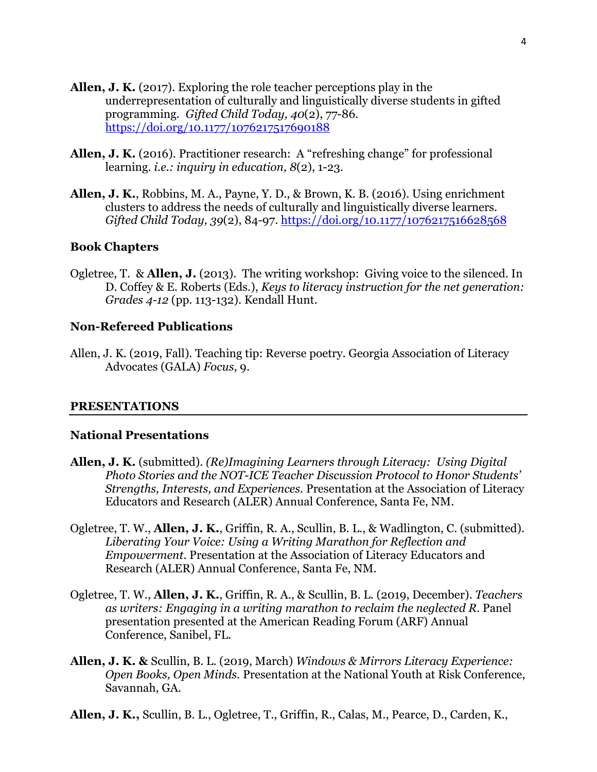- **Allen, J. K.** (2017). Exploring the role teacher perceptions play in the underrepresentation of culturally and linguistically diverse students in gifted programming.*Gifted Child Today, 40*(2), 77-86*.* <https://doi.org/10.1177/1076217517690188>
- **Allen, J. K.** (2016). Practitioner research: A "refreshing change" for professional learning. *i.e.: inquiry in education, 8*(2), 1-23.
- **Allen, J. K.**, Robbins, M. A., Payne, Y. D., & Brown, K. B. (2016). Using enrichment clusters to address the needs of culturally and linguistically diverse learners. *Gifted Child Today, 39*(2), 84-97. <https://doi.org/10.1177/1076217516628568>

#### **Book Chapters**

Ogletree, T. & **Allen, J.** (2013). The writing workshop: Giving voice to the silenced. In D. Coffey & E. Roberts (Eds.), *Keys to literacy instruction for the net generation: Grades 4-12* (pp. 113-132). Kendall Hunt.

## **Non-Refereed Publications**

Allen, J. K. (2019, Fall). Teaching tip: Reverse poetry. Georgia Association of Literacy Advocates (GALA) *Focus*, 9.

#### **PRESENTATIONS**

#### **National Presentations**

- **Allen, J. K.** (submitted). *(Re)Imagining Learners through Literacy: Using Digital Photo Stories and the NOT-ICE Teacher Discussion Protocol to Honor Students' Strengths, Interests, and Experiences.* Presentation at the Association of Literacy Educators and Research (ALER) Annual Conference, Santa Fe, NM.
- Ogletree, T. W., **Allen, J. K.**, Griffin, R. A., Scullin, B. L., & Wadlington, C. (submitted). *Liberating Your Voice: Using a Writing Marathon for Reflection and Empowerment*. Presentation at the Association of Literacy Educators and Research (ALER) Annual Conference, Santa Fe, NM.
- Ogletree, T. W., **Allen, J. K.**, Griffin, R. A., & Scullin, B. L. (2019, December). *Teachers as writers: Engaging in a writing marathon to reclaim the neglected R.* Panel presentation presented at the American Reading Forum (ARF) Annual Conference, Sanibel, FL.
- **Allen, J. K. &** Scullin, B. L. (2019, March) *Windows & Mirrors Literacy Experience: Open Books, Open Minds.* Presentation at the National Youth at Risk Conference, Savannah, GA.
- **Allen, J. K.,** Scullin, B. L., Ogletree, T., Griffin, R., Calas, M., Pearce, D., Carden, K.,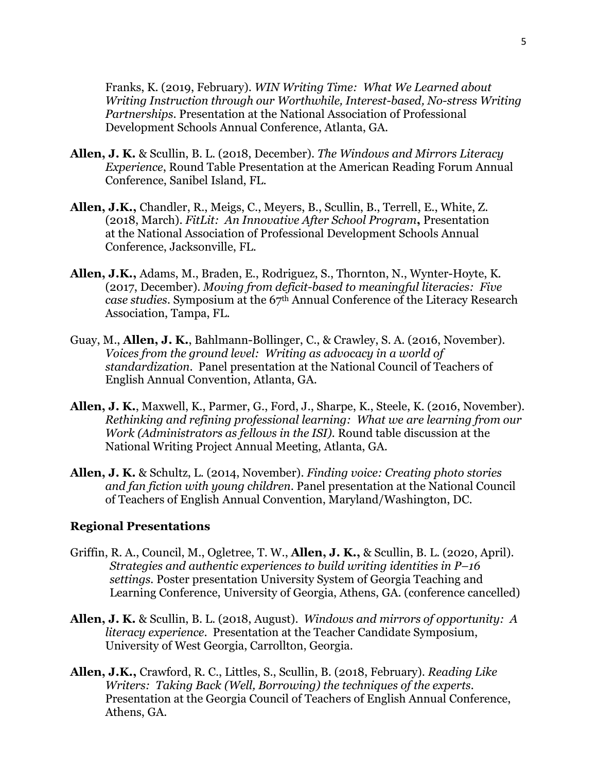Franks, K. (2019, February). *WIN Writing Time: What We Learned about Writing Instruction through our Worthwhile, Interest-based, No-stress Writing Partnerships*. Presentation at the National Association of Professional Development Schools Annual Conference, Atlanta, GA.

- **Allen, J. K.** & Scullin, B. L. (2018, December). *The Windows and Mirrors Literacy Experience*, Round Table Presentation at the American Reading Forum Annual Conference, Sanibel Island, FL.
- **Allen, J.K.,** Chandler, R., Meigs, C., Meyers, B., Scullin, B., Terrell, E., White, Z. (2018, March). *FitLit: An Innovative After School Program***,** Presentation at the National Association of Professional Development Schools Annual Conference, Jacksonville, FL.
- **Allen, J.K.,** Adams, M., Braden, E., Rodriguez, S., Thornton, N., Wynter-Hoyte, K. (2017, December). *Moving from deficit-based to meaningful literacies: Five case studies.* Symposium at the 67th Annual Conference of the Literacy Research Association, Tampa, FL.
- Guay, M., **Allen, J. K.**, Bahlmann-Bollinger, C., & Crawley, S. A. (2016, November). *Voices from the ground level: Writing as advocacy in a world of standardization*. Panel presentation at the National Council of Teachers of English Annual Convention, Atlanta, GA.
- **Allen, J. K.**, Maxwell, K., Parmer, G., Ford, J., Sharpe, K., Steele, K. (2016, November). *Rethinking and refining professional learning: What we are learning from our Work (Administrators as fellows in the ISI).* Round table discussion at the National Writing Project Annual Meeting, Atlanta, GA.
- **Allen, J. K.** & Schultz, L. (2014, November). *Finding voice: Creating photo stories and fan fiction with young children*. Panel presentation at the National Council of Teachers of English Annual Convention, Maryland/Washington, DC.

#### **Regional Presentations**

- Griffin, R. A., Council, M., Ogletree, T. W., **Allen, J. K.,** & Scullin, B. L. (2020, April). *Strategies and authentic experiences to build writing identities in P–16 settings.* Poster presentation University System of Georgia Teaching and Learning Conference, University of Georgia, Athens, GA. (conference cancelled)
- **Allen, J. K.** & Scullin, B. L. (2018, August). *Windows and mirrors of opportunity: A literacy experience*. Presentation at the Teacher Candidate Symposium, University of West Georgia, Carrollton, Georgia.
- **Allen, J.K.,** Crawford, R. C., Littles, S., Scullin, B. (2018, February). *Reading Like Writers: Taking Back (Well, Borrowing) the techniques of the experts.* Presentation at the Georgia Council of Teachers of English Annual Conference, Athens, GA.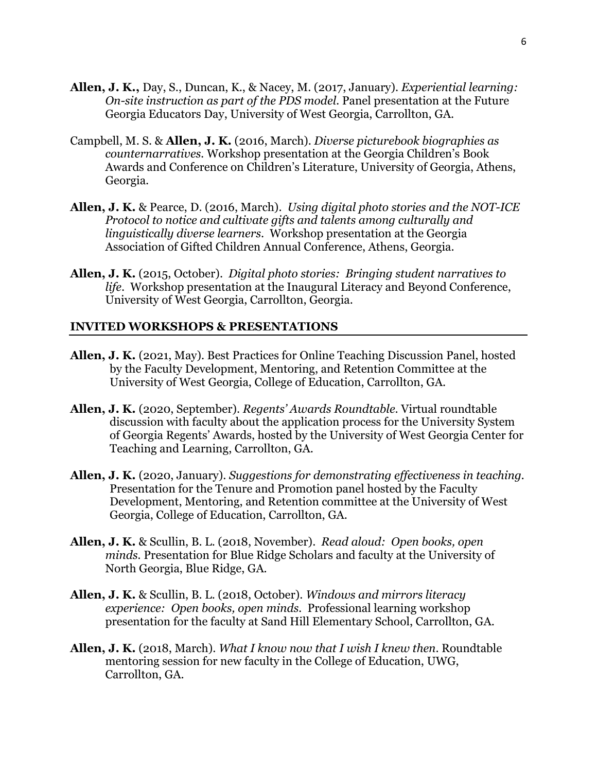- **Allen, J. K.,** Day, S., Duncan, K., & Nacey, M. (2017, January). *Experiential learning: On-site instruction as part of the PDS model.* Panel presentation at the Future Georgia Educators Day, University of West Georgia, Carrollton, GA.
- Campbell, M. S. & **Allen, J. K.** (2016, March). *Diverse picturebook biographies as counternarratives.* Workshop presentation at the Georgia Children's Book Awards and Conference on Children's Literature, University of Georgia, Athens, Georgia.
- **Allen, J. K.** & Pearce, D. (2016, March). *Using digital photo stories and the NOT-ICE Protocol to notice and cultivate gifts and talents among culturally and linguistically diverse learners*. Workshop presentation at the Georgia Association of Gifted Children Annual Conference, Athens, Georgia.
- **Allen, J. K.** (2015, October). *Digital photo stories: Bringing student narratives to life*. Workshop presentation at the Inaugural Literacy and Beyond Conference, University of West Georgia, Carrollton, Georgia.

#### **INVITED WORKSHOPS & PRESENTATIONS**

- **Allen, J. K.** (2021, May). Best Practices for Online Teaching Discussion Panel, hosted by the Faculty Development, Mentoring, and Retention Committee at the University of West Georgia, College of Education, Carrollton, GA.
- **Allen, J. K.** (2020, September). *Regents' Awards Roundtable*. Virtual roundtable discussion with faculty about the application process for the University System of Georgia Regents' Awards, hosted by the University of West Georgia Center for Teaching and Learning, Carrollton, GA.
- **Allen, J. K.** (2020, January). *Suggestions for demonstrating effectiveness in teaching.*  Presentation for the Tenure and Promotion panel hosted by the Faculty Development, Mentoring, and Retention committee at the University of West Georgia, College of Education, Carrollton, GA.
- **Allen, J. K.** & Scullin, B. L. (2018, November). *Read aloud: Open books, open minds.* Presentation for Blue Ridge Scholars and faculty at the University of North Georgia, Blue Ridge, GA.
- **Allen, J. K.** & Scullin, B. L. (2018, October). *Windows and mirrors literacy experience: Open books, open minds.* Professional learning workshop presentation for the faculty at Sand Hill Elementary School, Carrollton, GA.
- **Allen, J. K.** (2018, March). *What I know now that I wish I knew then*. Roundtable mentoring session for new faculty in the College of Education, UWG, Carrollton, GA.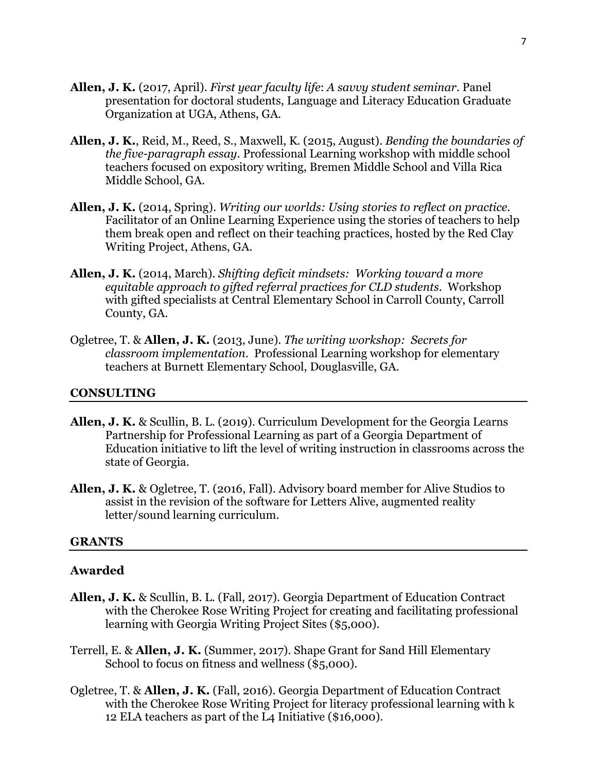- **Allen, J. K.** (2017, April). *First year faculty life*: *A savvy student seminar*. Panel presentation for doctoral students, Language and Literacy Education Graduate Organization at UGA, Athens, GA.
- **Allen, J. K.**, Reid, M., Reed, S., Maxwell, K. (2015, August). *Bending the boundaries of the five-paragraph essay*. Professional Learning workshop with middle school teachers focused on expository writing, Bremen Middle School and Villa Rica Middle School, GA.
- **Allen, J. K.** (2014, Spring). *Writing our worlds: Using stories to reflect on practice*. Facilitator of an Online Learning Experience using the stories of teachers to help them break open and reflect on their teaching practices, hosted by the Red Clay Writing Project, Athens, GA.
- **Allen, J. K.** (2014, March). *Shifting deficit mindsets: Working toward a more equitable approach to gifted referral practices for CLD students*. Workshop with gifted specialists at Central Elementary School in Carroll County, Carroll County, GA.
- Ogletree, T. & **Allen, J. K.** (2013, June). *The writing workshop: Secrets for classroom implementation*. Professional Learning workshop for elementary teachers at Burnett Elementary School, Douglasville, GA.

#### **CONSULTING**

- **Allen, J. K.** & Scullin, B. L. (2019). Curriculum Development for the Georgia Learns Partnership for Professional Learning as part of a Georgia Department of Education initiative to lift the level of writing instruction in classrooms across the state of Georgia.
- **Allen, J. K.** & Ogletree, T. (2016, Fall). Advisory board member for Alive Studios to assist in the revision of the software for Letters Alive, augmented reality letter/sound learning curriculum.

#### **GRANTS**

#### **Awarded**

- **Allen, J. K.** & Scullin, B. L. (Fall, 2017). Georgia Department of Education Contract with the Cherokee Rose Writing Project for creating and facilitating professional learning with Georgia Writing Project Sites (\$5,000).
- Terrell, E. & **Allen, J. K.** (Summer, 2017). Shape Grant for Sand Hill Elementary School to focus on fitness and wellness (\$5,000).
- Ogletree, T. & **Allen, J. K.** (Fall, 2016). Georgia Department of Education Contract with the Cherokee Rose Writing Project for literacy professional learning with k 12 ELA teachers as part of the L4 Initiative (\$16,000).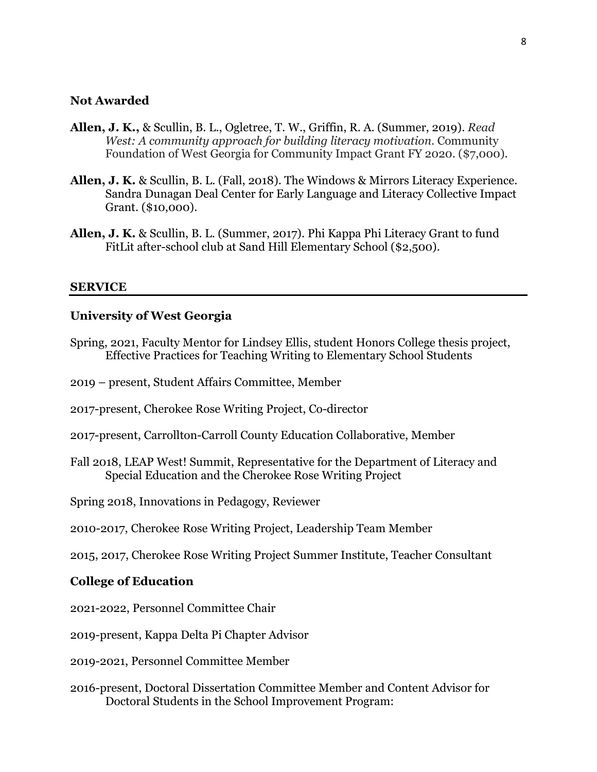#### **Not Awarded**

- **Allen, J. K.,** & Scullin, B. L., Ogletree, T. W., Griffin, R. A. (Summer, 2019). *Read West: A community approach for building literacy motivation*. Community Foundation of West Georgia for Community Impact Grant FY 2020. (\$7,000).
- **Allen, J. K.** & Scullin, B. L. (Fall, 2018). The Windows & Mirrors Literacy Experience. Sandra Dunagan Deal Center for Early Language and Literacy Collective Impact Grant. (\$10,000).
- **Allen, J. K.** & Scullin, B. L. (Summer, 2017). Phi Kappa Phi Literacy Grant to fund FitLit after-school club at Sand Hill Elementary School (\$2,500).

#### **SERVICE**

# **University of West Georgia**

- Spring, 2021, Faculty Mentor for Lindsey Ellis, student Honors College thesis project, Effective Practices for Teaching Writing to Elementary School Students
- 2019 present, Student Affairs Committee, Member
- 2017-present, Cherokee Rose Writing Project, Co-director
- 2017-present, Carrollton-Carroll County Education Collaborative, Member
- Fall 2018, LEAP West! Summit, Representative for the Department of Literacy and Special Education and the Cherokee Rose Writing Project
- Spring 2018, Innovations in Pedagogy, Reviewer
- 2010-2017, Cherokee Rose Writing Project, Leadership Team Member
- 2015, 2017, Cherokee Rose Writing Project Summer Institute, Teacher Consultant

#### **College of Education**

- 2021-2022, Personnel Committee Chair
- 2019-present, Kappa Delta Pi Chapter Advisor
- 2019-2021, Personnel Committee Member
- 2016-present, Doctoral Dissertation Committee Member and Content Advisor for Doctoral Students in the School Improvement Program: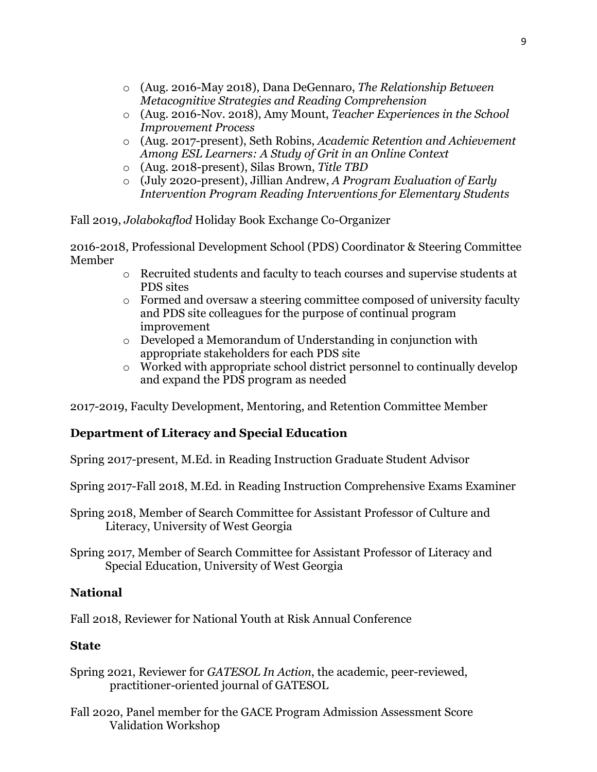- o (Aug. 2016-May 2018), Dana DeGennaro, *The Relationship Between Metacognitive Strategies and Reading Comprehension*
- o (Aug. 2016-Nov. 2018), Amy Mount, *Teacher Experiences in the School Improvement Process*
- o (Aug. 2017-present), Seth Robins, *Academic Retention and Achievement Among ESL Learners: A Study of Grit in an Online Context*
- o (Aug. 2018-present), Silas Brown, *Title TBD*
- o (July 2020-present), Jillian Andrew, *A Program Evaluation of Early Intervention Program Reading Interventions for Elementary Students*

Fall 2019, *Jolabokaflod* Holiday Book Exchange Co-Organizer

2016-2018, Professional Development School (PDS) Coordinator & Steering Committee Member

- o Recruited students and faculty to teach courses and supervise students at PDS sites
- o Formed and oversaw a steering committee composed of university faculty and PDS site colleagues for the purpose of continual program improvement
- o Developed a Memorandum of Understanding in conjunction with appropriate stakeholders for each PDS site
- o Worked with appropriate school district personnel to continually develop and expand the PDS program as needed

2017-2019, Faculty Development, Mentoring, and Retention Committee Member

# **Department of Literacy and Special Education**

Spring 2017-present, M.Ed. in Reading Instruction Graduate Student Advisor

Spring 2017-Fall 2018, M.Ed. in Reading Instruction Comprehensive Exams Examiner

Spring 2018, Member of Search Committee for Assistant Professor of Culture and Literacy, University of West Georgia

Spring 2017, Member of Search Committee for Assistant Professor of Literacy and Special Education, University of West Georgia

# **National**

Fall 2018, Reviewer for National Youth at Risk Annual Conference

# **State**

- Spring 2021, Reviewer for *GATESOL In Action*, the academic, peer-reviewed, practitioner-oriented journal of GATESOL
- Fall 2020, Panel member for the GACE Program Admission Assessment Score Validation Workshop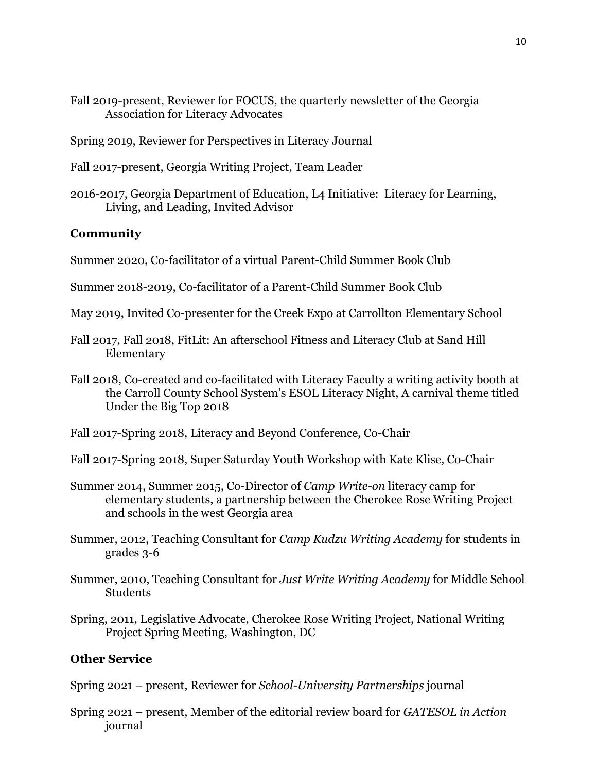- Fall 2019-present, Reviewer for FOCUS, the quarterly newsletter of the Georgia Association for Literacy Advocates
- Spring 2019, Reviewer for Perspectives in Literacy Journal
- Fall 2017-present, Georgia Writing Project, Team Leader
- 2016-2017, Georgia Department of Education, L4 Initiative: Literacy for Learning, Living, and Leading, Invited Advisor

# **Community**

Summer 2020, Co-facilitator of a virtual Parent-Child Summer Book Club

- Summer 2018-2019, Co-facilitator of a Parent-Child Summer Book Club
- May 2019, Invited Co-presenter for the Creek Expo at Carrollton Elementary School
- Fall 2017, Fall 2018, FitLit: An afterschool Fitness and Literacy Club at Sand Hill Elementary
- Fall 2018, Co-created and co-facilitated with Literacy Faculty a writing activity booth at the Carroll County School System's ESOL Literacy Night, A carnival theme titled Under the Big Top 2018

Fall 2017-Spring 2018, Literacy and Beyond Conference, Co-Chair

- Fall 2017-Spring 2018, Super Saturday Youth Workshop with Kate Klise, Co-Chair
- Summer 2014, Summer 2015, Co-Director of *Camp Write-on* literacy camp for elementary students, a partnership between the Cherokee Rose Writing Project and schools in the west Georgia area
- Summer, 2012, Teaching Consultant for *Camp Kudzu Writing Academy* for students in grades 3-6
- Summer, 2010, Teaching Consultant for *Just Write Writing Academy* for Middle School **Students**
- Spring, 2011, Legislative Advocate, Cherokee Rose Writing Project, National Writing Project Spring Meeting, Washington, DC

# **Other Service**

Spring 2021 – present, Reviewer for *School-University Partnerships* journal

Spring 2021 – present, Member of the editorial review board for *GATESOL in Action* journal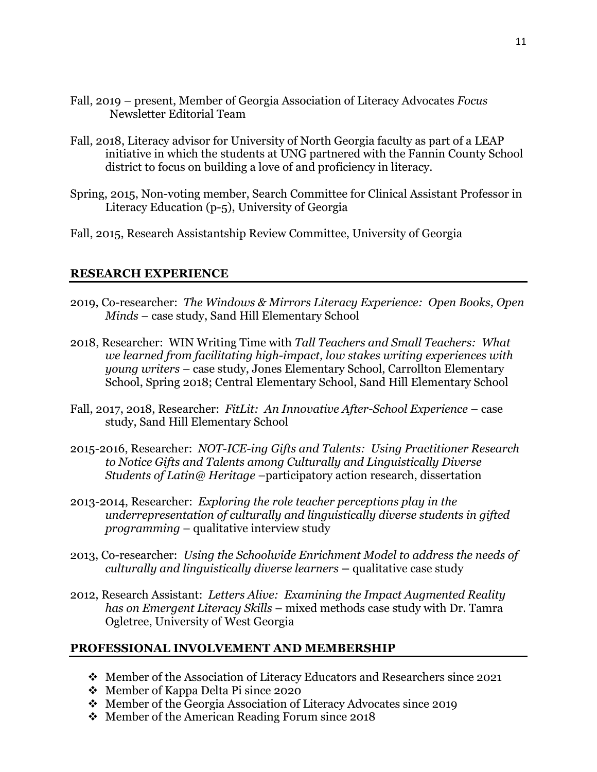- Fall, 2019 present, Member of Georgia Association of Literacy Advocates *Focus* Newsletter Editorial Team
- Fall, 2018, Literacy advisor for University of North Georgia faculty as part of a LEAP initiative in which the students at UNG partnered with the Fannin County School district to focus on building a love of and proficiency in literacy.
- Spring, 2015, Non-voting member, Search Committee for Clinical Assistant Professor in Literacy Education (p-5), University of Georgia
- Fall, 2015, Research Assistantship Review Committee, University of Georgia

# **RESEARCH EXPERIENCE**

- 2019, Co-researcher: *The Windows & Mirrors Literacy Experience: Open Books, Open Minds* – case study, Sand Hill Elementary School
- 2018, Researcher: WIN Writing Time with *Tall Teachers and Small Teachers: What we learned from facilitating high-impact, low stakes writing experiences with young writers –* case study, Jones Elementary School, Carrollton Elementary School, Spring 2018; Central Elementary School, Sand Hill Elementary School
- Fall, 2017, 2018, Researcher: *FitLit: An Innovative After-School Experience* case study, Sand Hill Elementary School
- 2015-2016, Researcher: *NOT-ICE-ing Gifts and Talents: Using Practitioner Research to Notice Gifts and Talents among Culturally and Linguistically Diverse Students of Latin@ Heritage* –participatory action research, dissertation
- 2013-2014, Researcher: *Exploring the role teacher perceptions play in the underrepresentation of culturally and linguistically diverse students in gifted programming* – qualitative interview study
- 2013, Co-researcher:*Using the Schoolwide Enrichment Model to address the needs of culturally and linguistically diverse learners* **–** qualitative case study
- 2012, Research Assistant: *Letters Alive: Examining the Impact Augmented Reality has on Emergent Literacy Skills* – mixed methods case study with Dr. Tamra Ogletree, University of West Georgia

#### **PROFESSIONAL INVOLVEMENT AND MEMBERSHIP**

- Member of the Association of Literacy Educators and Researchers since 2021
- Member of Kappa Delta Pi since 2020
- Member of the Georgia Association of Literacy Advocates since 2019
- ◆ Member of the American Reading Forum since 2018